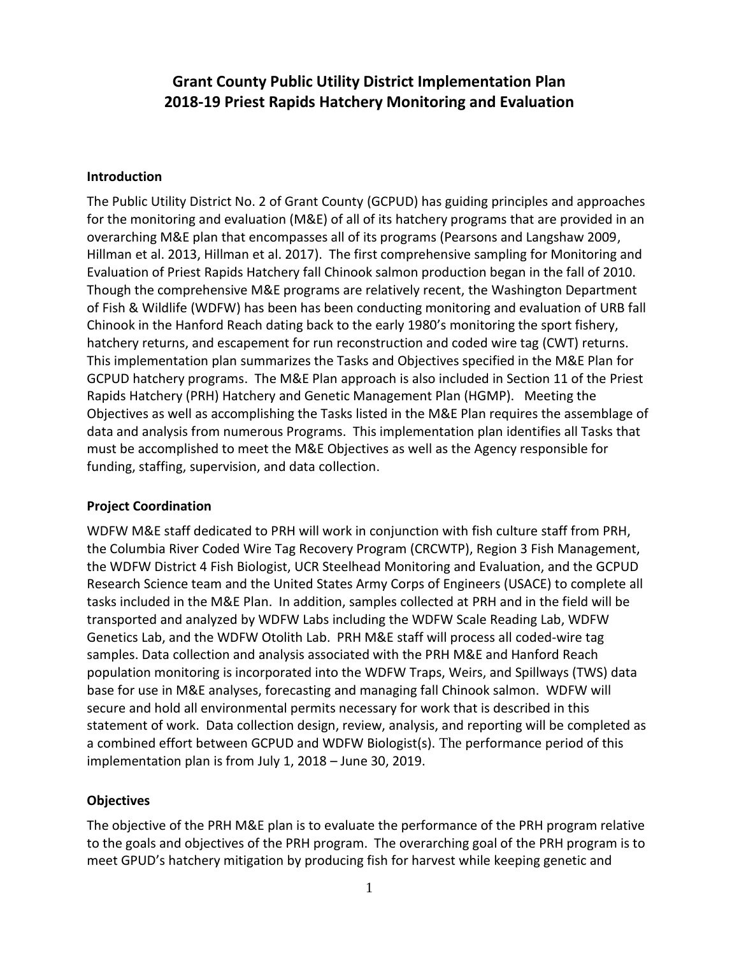# **Grant County Public Utility District Implementation Plan 2018-19 Priest Rapids Hatchery Monitoring and Evaluation**

#### **Introduction**

The Public Utility District No. 2 of Grant County (GCPUD) has guiding principles and approaches for the monitoring and evaluation (M&E) of all of its hatchery programs that are provided in an overarching M&E plan that encompasses all of its programs (Pearsons and Langshaw 2009, Hillman et al. 2013, Hillman et al. 2017). The first comprehensive sampling for Monitoring and Evaluation of Priest Rapids Hatchery fall Chinook salmon production began in the fall of 2010. Though the comprehensive M&E programs are relatively recent, the Washington Department of Fish & Wildlife (WDFW) has been has been conducting monitoring and evaluation of URB fall Chinook in the Hanford Reach dating back to the early 1980's monitoring the sport fishery, hatchery returns, and escapement for run reconstruction and coded wire tag (CWT) returns. This implementation plan summarizes the Tasks and Objectives specified in the M&E Plan for GCPUD hatchery programs. The M&E Plan approach is also included in Section 11 of the Priest Rapids Hatchery (PRH) Hatchery and Genetic Management Plan (HGMP). Meeting the Objectives as well as accomplishing the Tasks listed in the M&E Plan requires the assemblage of data and analysis from numerous Programs. This implementation plan identifies all Tasks that must be accomplished to meet the M&E Objectives as well as the Agency responsible for funding, staffing, supervision, and data collection.

#### **Project Coordination**

WDFW M&E staff dedicated to PRH will work in conjunction with fish culture staff from PRH, the Columbia River Coded Wire Tag Recovery Program (CRCWTP), Region 3 Fish Management, the WDFW District 4 Fish Biologist, UCR Steelhead Monitoring and Evaluation, and the GCPUD Research Science team and the United States Army Corps of Engineers (USACE) to complete all tasks included in the M&E Plan. In addition, samples collected at PRH and in the field will be transported and analyzed by WDFW Labs including the WDFW Scale Reading Lab, WDFW Genetics Lab, and the WDFW Otolith Lab. PRH M&E staff will process all coded-wire tag samples. Data collection and analysis associated with the PRH M&E and Hanford Reach population monitoring is incorporated into the WDFW Traps, Weirs, and Spillways (TWS) data base for use in M&E analyses, forecasting and managing fall Chinook salmon. WDFW will secure and hold all environmental permits necessary for work that is described in this statement of work. Data collection design, review, analysis, and reporting will be completed as a combined effort between GCPUD and WDFW Biologist(s). The performance period of this implementation plan is from July 1, 2018 – June 30, 2019.

## **Objectives**

The objective of the PRH M&E plan is to evaluate the performance of the PRH program relative to the goals and objectives of the PRH program. The overarching goal of the PRH program is to meet GPUD's hatchery mitigation by producing fish for harvest while keeping genetic and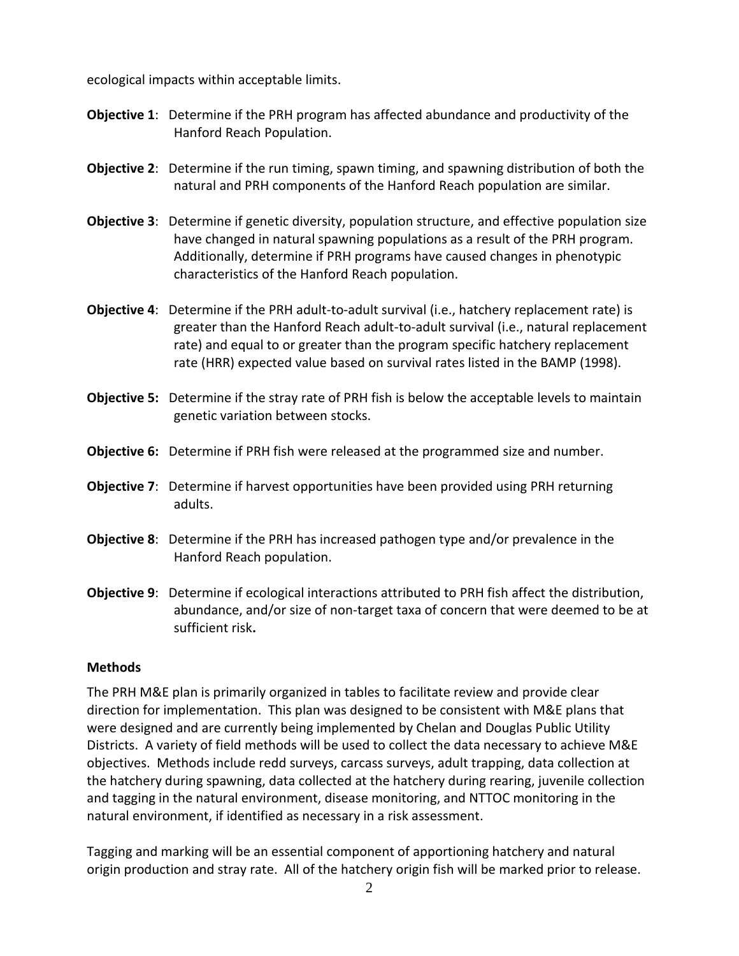ecological impacts within acceptable limits.

- **Objective 1**: Determine if the PRH program has affected abundance and productivity of the Hanford Reach Population.
- **Objective 2**: Determine if the run timing, spawn timing, and spawning distribution of both the natural and PRH components of the Hanford Reach population are similar.
- **Objective 3**: Determine if genetic diversity, population structure, and effective population size have changed in natural spawning populations as a result of the PRH program. Additionally, determine if PRH programs have caused changes in phenotypic characteristics of the Hanford Reach population.
- **Objective 4**: Determine if the PRH adult-to-adult survival (i.e., hatchery replacement rate) is greater than the Hanford Reach adult-to-adult survival (i.e., natural replacement rate) and equal to or greater than the program specific hatchery replacement rate (HRR) expected value based on survival rates listed in the BAMP (1998).
- **Objective 5:** Determine if the stray rate of PRH fish is below the acceptable levels to maintain genetic variation between stocks.
- **Objective 6:** Determine if PRH fish were released at the programmed size and number.
- **Objective 7**: Determine if harvest opportunities have been provided using PRH returning adults.
- **Objective 8**: Determine if the PRH has increased pathogen type and/or prevalence in the Hanford Reach population.
- **Objective 9**: Determine if ecological interactions attributed to PRH fish affect the distribution, abundance, and/or size of non-target taxa of concern that were deemed to be at sufficient risk**.**

#### **Methods**

The PRH M&E plan is primarily organized in tables to facilitate review and provide clear direction for implementation. This plan was designed to be consistent with M&E plans that were designed and are currently being implemented by Chelan and Douglas Public Utility Districts. A variety of field methods will be used to collect the data necessary to achieve M&E objectives. Methods include redd surveys, carcass surveys, adult trapping, data collection at the hatchery during spawning, data collected at the hatchery during rearing, juvenile collection and tagging in the natural environment, disease monitoring, and NTTOC monitoring in the natural environment, if identified as necessary in a risk assessment.

Tagging and marking will be an essential component of apportioning hatchery and natural origin production and stray rate. All of the hatchery origin fish will be marked prior to release.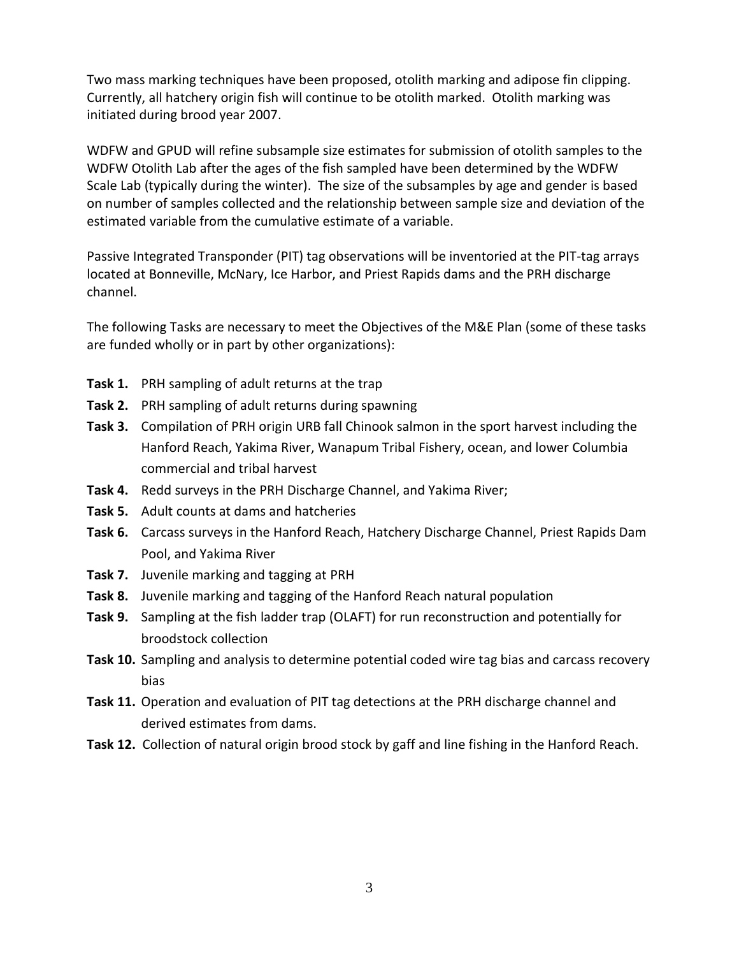Two mass marking techniques have been proposed, otolith marking and adipose fin clipping. Currently, all hatchery origin fish will continue to be otolith marked. Otolith marking was initiated during brood year 2007.

WDFW and GPUD will refine subsample size estimates for submission of otolith samples to the WDFW Otolith Lab after the ages of the fish sampled have been determined by the WDFW Scale Lab (typically during the winter). The size of the subsamples by age and gender is based on number of samples collected and the relationship between sample size and deviation of the estimated variable from the cumulative estimate of a variable.

Passive Integrated Transponder (PIT) tag observations will be inventoried at the PIT-tag arrays located at Bonneville, McNary, Ice Harbor, and Priest Rapids dams and the PRH discharge channel.

The following Tasks are necessary to meet the Objectives of the M&E Plan (some of these tasks are funded wholly or in part by other organizations):

- **Task 1.** PRH sampling of adult returns at the trap
- **Task 2.** PRH sampling of adult returns during spawning
- **Task 3.** Compilation of PRH origin URB fall Chinook salmon in the sport harvest including the Hanford Reach, Yakima River, Wanapum Tribal Fishery, ocean, and lower Columbia commercial and tribal harvest
- **Task 4.** Redd surveys in the PRH Discharge Channel, and Yakima River;
- **Task 5.** Adult counts at dams and hatcheries
- **Task 6.** Carcass surveys in the Hanford Reach, Hatchery Discharge Channel, Priest Rapids Dam Pool, and Yakima River
- **Task 7.** Juvenile marking and tagging at PRH
- **Task 8.** Juvenile marking and tagging of the Hanford Reach natural population
- **Task 9.** Sampling at the fish ladder trap (OLAFT) for run reconstruction and potentially for broodstock collection
- **Task 10.** Sampling and analysis to determine potential coded wire tag bias and carcass recovery bias
- **Task 11.** Operation and evaluation of PIT tag detections at the PRH discharge channel and derived estimates from dams.
- **Task 12.** Collection of natural origin brood stock by gaff and line fishing in the Hanford Reach.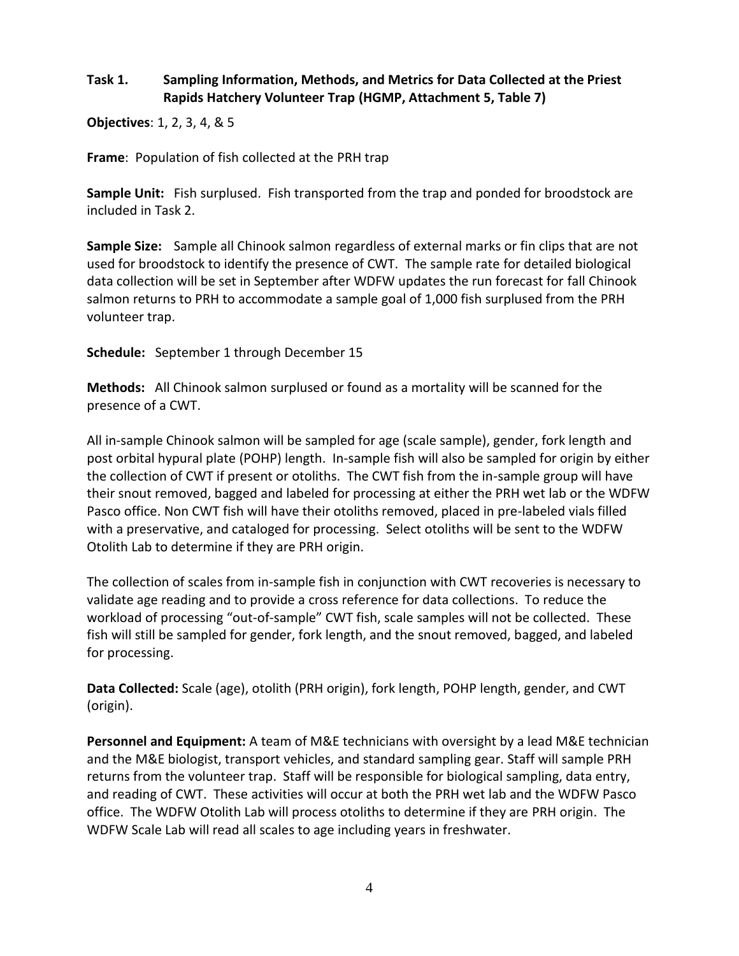## **Task 1. Sampling Information, Methods, and Metrics for Data Collected at the Priest Rapids Hatchery Volunteer Trap (HGMP, Attachment 5, Table 7)**

**Objectives**: 1, 2, 3, 4, & 5

**Frame**: Population of fish collected at the PRH trap

**Sample Unit:** Fish surplused. Fish transported from the trap and ponded for broodstock are included in Task 2.

**Sample Size:** Sample all Chinook salmon regardless of external marks or fin clips that are not used for broodstock to identify the presence of CWT. The sample rate for detailed biological data collection will be set in September after WDFW updates the run forecast for fall Chinook salmon returns to PRH to accommodate a sample goal of 1,000 fish surplused from the PRH volunteer trap.

**Schedule:** September 1 through December 15

**Methods:** All Chinook salmon surplused or found as a mortality will be scanned for the presence of a CWT.

All in-sample Chinook salmon will be sampled for age (scale sample), gender, fork length and post orbital hypural plate (POHP) length. In-sample fish will also be sampled for origin by either the collection of CWT if present or otoliths. The CWT fish from the in-sample group will have their snout removed, bagged and labeled for processing at either the PRH wet lab or the WDFW Pasco office. Non CWT fish will have their otoliths removed, placed in pre-labeled vials filled with a preservative, and cataloged for processing. Select otoliths will be sent to the WDFW Otolith Lab to determine if they are PRH origin.

The collection of scales from in-sample fish in conjunction with CWT recoveries is necessary to validate age reading and to provide a cross reference for data collections. To reduce the workload of processing "out-of-sample" CWT fish, scale samples will not be collected. These fish will still be sampled for gender, fork length, and the snout removed, bagged, and labeled for processing.

**Data Collected:** Scale (age), otolith (PRH origin), fork length, POHP length, gender, and CWT (origin).

**Personnel and Equipment:** A team of M&E technicians with oversight by a lead M&E technician and the M&E biologist, transport vehicles, and standard sampling gear. Staff will sample PRH returns from the volunteer trap. Staff will be responsible for biological sampling, data entry, and reading of CWT. These activities will occur at both the PRH wet lab and the WDFW Pasco office. The WDFW Otolith Lab will process otoliths to determine if they are PRH origin. The WDFW Scale Lab will read all scales to age including years in freshwater.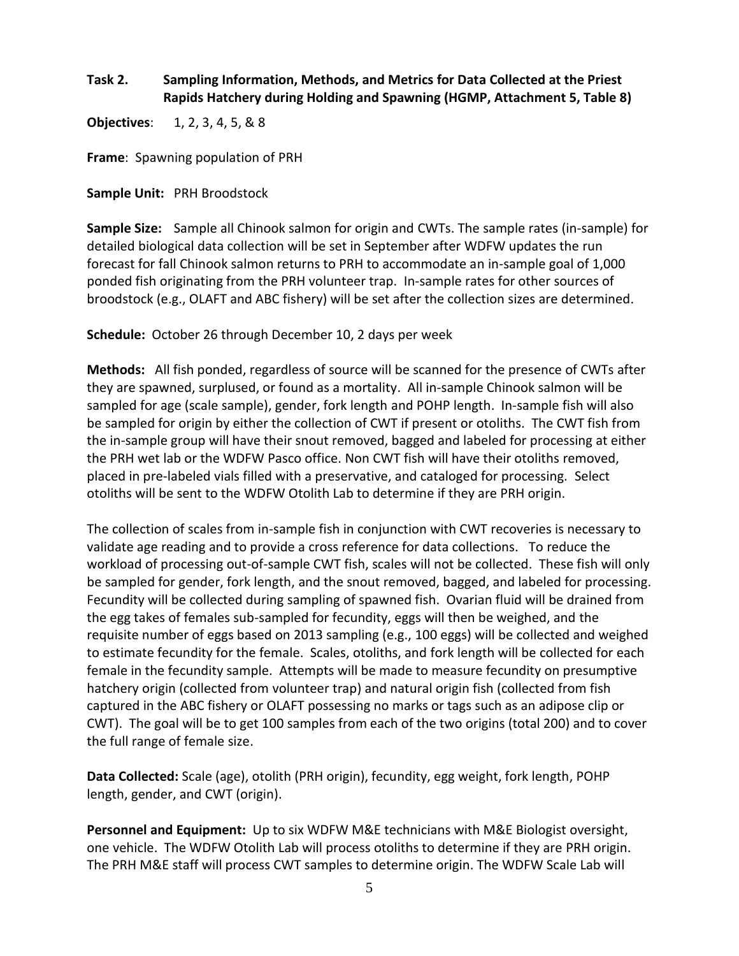## **Task 2. Sampling Information, Methods, and Metrics for Data Collected at the Priest Rapids Hatchery during Holding and Spawning (HGMP, Attachment 5, Table 8)**

**Objectives**: 1, 2, 3, 4, 5, & 8

**Frame**: Spawning population of PRH

**Sample Unit:** PRH Broodstock

**Sample Size:** Sample all Chinook salmon for origin and CWTs. The sample rates (in-sample) for detailed biological data collection will be set in September after WDFW updates the run forecast for fall Chinook salmon returns to PRH to accommodate an in-sample goal of 1,000 ponded fish originating from the PRH volunteer trap. In-sample rates for other sources of broodstock (e.g., OLAFT and ABC fishery) will be set after the collection sizes are determined.

**Schedule:** October 26 through December 10, 2 days per week

**Methods:** All fish ponded, regardless of source will be scanned for the presence of CWTs after they are spawned, surplused, or found as a mortality. All in-sample Chinook salmon will be sampled for age (scale sample), gender, fork length and POHP length. In-sample fish will also be sampled for origin by either the collection of CWT if present or otoliths. The CWT fish from the in-sample group will have their snout removed, bagged and labeled for processing at either the PRH wet lab or the WDFW Pasco office. Non CWT fish will have their otoliths removed, placed in pre-labeled vials filled with a preservative, and cataloged for processing. Select otoliths will be sent to the WDFW Otolith Lab to determine if they are PRH origin.

The collection of scales from in-sample fish in conjunction with CWT recoveries is necessary to validate age reading and to provide a cross reference for data collections. To reduce the workload of processing out-of-sample CWT fish, scales will not be collected. These fish will only be sampled for gender, fork length, and the snout removed, bagged, and labeled for processing. Fecundity will be collected during sampling of spawned fish. Ovarian fluid will be drained from the egg takes of females sub-sampled for fecundity, eggs will then be weighed, and the requisite number of eggs based on 2013 sampling (e.g., 100 eggs) will be collected and weighed to estimate fecundity for the female. Scales, otoliths, and fork length will be collected for each female in the fecundity sample. Attempts will be made to measure fecundity on presumptive hatchery origin (collected from volunteer trap) and natural origin fish (collected from fish captured in the ABC fishery or OLAFT possessing no marks or tags such as an adipose clip or CWT). The goal will be to get 100 samples from each of the two origins (total 200) and to cover the full range of female size.

**Data Collected:** Scale (age), otolith (PRH origin), fecundity, egg weight, fork length, POHP length, gender, and CWT (origin).

**Personnel and Equipment:** Up to six WDFW M&E technicians with M&E Biologist oversight, one vehicle. The WDFW Otolith Lab will process otoliths to determine if they are PRH origin. The PRH M&E staff will process CWT samples to determine origin. The WDFW Scale Lab will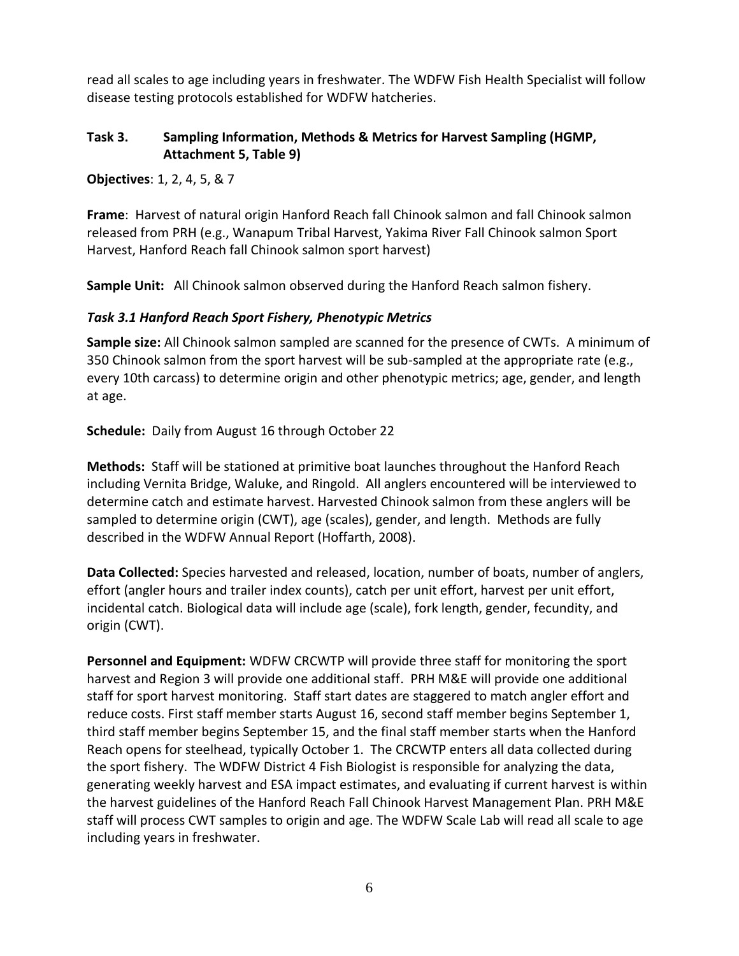read all scales to age including years in freshwater. The WDFW Fish Health Specialist will follow disease testing protocols established for WDFW hatcheries.

## **Task 3. Sampling Information, Methods & Metrics for Harvest Sampling (HGMP, Attachment 5, Table 9)**

**Objectives**: 1, 2, 4, 5, & 7

**Frame**: Harvest of natural origin Hanford Reach fall Chinook salmon and fall Chinook salmon released from PRH (e.g., Wanapum Tribal Harvest, Yakima River Fall Chinook salmon Sport Harvest, Hanford Reach fall Chinook salmon sport harvest)

**Sample Unit:** All Chinook salmon observed during the Hanford Reach salmon fishery.

## *Task 3.1 Hanford Reach Sport Fishery, Phenotypic Metrics*

**Sample size:** All Chinook salmon sampled are scanned for the presence of CWTs. A minimum of 350 Chinook salmon from the sport harvest will be sub-sampled at the appropriate rate (e.g., every 10th carcass) to determine origin and other phenotypic metrics; age, gender, and length at age.

**Schedule:** Daily from August 16 through October 22

**Methods:** Staff will be stationed at primitive boat launches throughout the Hanford Reach including Vernita Bridge, Waluke, and Ringold. All anglers encountered will be interviewed to determine catch and estimate harvest. Harvested Chinook salmon from these anglers will be sampled to determine origin (CWT), age (scales), gender, and length. Methods are fully described in the WDFW Annual Report (Hoffarth, 2008).

**Data Collected:** Species harvested and released, location, number of boats, number of anglers, effort (angler hours and trailer index counts), catch per unit effort, harvest per unit effort, incidental catch. Biological data will include age (scale), fork length, gender, fecundity, and origin (CWT).

**Personnel and Equipment:** WDFW CRCWTP will provide three staff for monitoring the sport harvest and Region 3 will provide one additional staff. PRH M&E will provide one additional staff for sport harvest monitoring. Staff start dates are staggered to match angler effort and reduce costs. First staff member starts August 16, second staff member begins September 1, third staff member begins September 15, and the final staff member starts when the Hanford Reach opens for steelhead, typically October 1. The CRCWTP enters all data collected during the sport fishery. The WDFW District 4 Fish Biologist is responsible for analyzing the data, generating weekly harvest and ESA impact estimates, and evaluating if current harvest is within the harvest guidelines of the Hanford Reach Fall Chinook Harvest Management Plan. PRH M&E staff will process CWT samples to origin and age. The WDFW Scale Lab will read all scale to age including years in freshwater.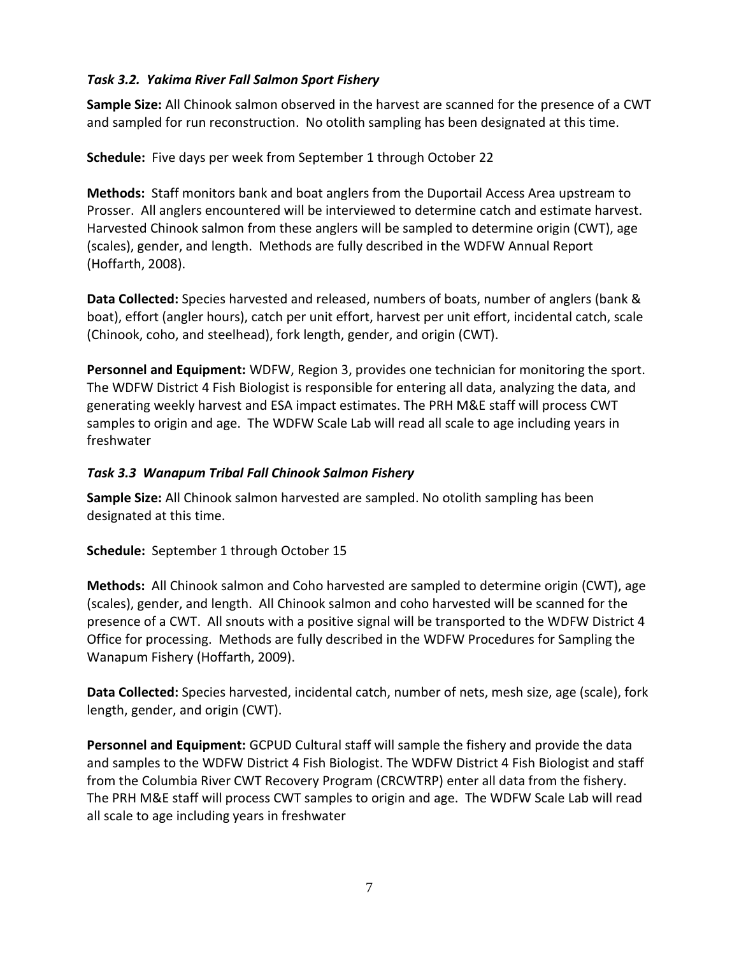## *Task 3.2. Yakima River Fall Salmon Sport Fishery*

**Sample Size:** All Chinook salmon observed in the harvest are scanned for the presence of a CWT and sampled for run reconstruction. No otolith sampling has been designated at this time.

**Schedule:** Five days per week from September 1 through October 22

**Methods:** Staff monitors bank and boat anglers from the Duportail Access Area upstream to Prosser. All anglers encountered will be interviewed to determine catch and estimate harvest. Harvested Chinook salmon from these anglers will be sampled to determine origin (CWT), age (scales), gender, and length. Methods are fully described in the WDFW Annual Report (Hoffarth, 2008).

**Data Collected:** Species harvested and released, numbers of boats, number of anglers (bank & boat), effort (angler hours), catch per unit effort, harvest per unit effort, incidental catch, scale (Chinook, coho, and steelhead), fork length, gender, and origin (CWT).

**Personnel and Equipment:** WDFW, Region 3, provides one technician for monitoring the sport. The WDFW District 4 Fish Biologist is responsible for entering all data, analyzing the data, and generating weekly harvest and ESA impact estimates. The PRH M&E staff will process CWT samples to origin and age. The WDFW Scale Lab will read all scale to age including years in freshwater

## *Task 3.3 Wanapum Tribal Fall Chinook Salmon Fishery*

**Sample Size:** All Chinook salmon harvested are sampled. No otolith sampling has been designated at this time.

**Schedule:** September 1 through October 15

**Methods:** All Chinook salmon and Coho harvested are sampled to determine origin (CWT), age (scales), gender, and length. All Chinook salmon and coho harvested will be scanned for the presence of a CWT. All snouts with a positive signal will be transported to the WDFW District 4 Office for processing. Methods are fully described in the WDFW Procedures for Sampling the Wanapum Fishery (Hoffarth, 2009).

**Data Collected:** Species harvested, incidental catch, number of nets, mesh size, age (scale), fork length, gender, and origin (CWT).

**Personnel and Equipment:** GCPUD Cultural staff will sample the fishery and provide the data and samples to the WDFW District 4 Fish Biologist. The WDFW District 4 Fish Biologist and staff from the Columbia River CWT Recovery Program (CRCWTRP) enter all data from the fishery. The PRH M&E staff will process CWT samples to origin and age. The WDFW Scale Lab will read all scale to age including years in freshwater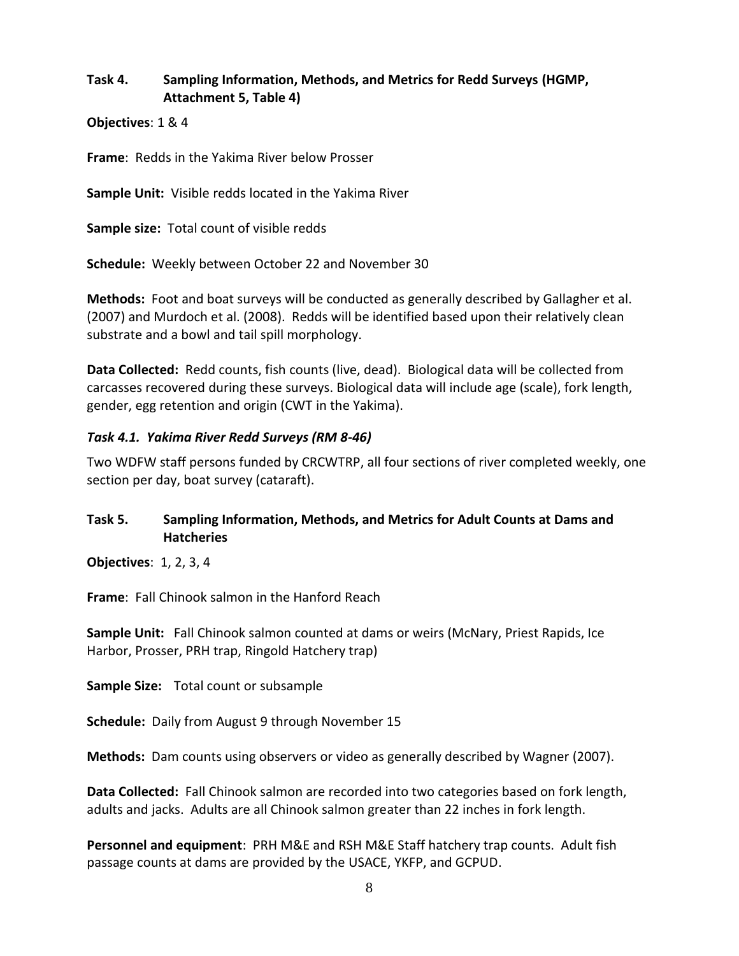## **Task 4. Sampling Information, Methods, and Metrics for Redd Surveys (HGMP, Attachment 5, Table 4)**

**Objectives**: 1 & 4

**Frame**: Redds in the Yakima River below Prosser

**Sample Unit:** Visible redds located in the Yakima River

**Sample size:** Total count of visible redds

**Schedule:** Weekly between October 22 and November 30

**Methods:** Foot and boat surveys will be conducted as generally described by Gallagher et al. (2007) and Murdoch et al. (2008). Redds will be identified based upon their relatively clean substrate and a bowl and tail spill morphology.

**Data Collected:** Redd counts, fish counts (live, dead). Biological data will be collected from carcasses recovered during these surveys. Biological data will include age (scale), fork length, gender, egg retention and origin (CWT in the Yakima).

#### *Task 4.1. Yakima River Redd Surveys (RM 8-46)*

Two WDFW staff persons funded by CRCWTRP, all four sections of river completed weekly, one section per day, boat survey (cataraft).

#### **Task 5. Sampling Information, Methods, and Metrics for Adult Counts at Dams and Hatcheries**

**Objectives**: 1, 2, 3, 4

**Frame**: Fall Chinook salmon in the Hanford Reach

**Sample Unit:** Fall Chinook salmon counted at dams or weirs (McNary, Priest Rapids, Ice Harbor, Prosser, PRH trap, Ringold Hatchery trap)

**Sample Size:** Total count or subsample

**Schedule:** Daily from August 9 through November 15

**Methods:** Dam counts using observers or video as generally described by Wagner (2007).

**Data Collected:** Fall Chinook salmon are recorded into two categories based on fork length, adults and jacks. Adults are all Chinook salmon greater than 22 inches in fork length.

**Personnel and equipment**: PRH M&E and RSH M&E Staff hatchery trap counts. Adult fish passage counts at dams are provided by the USACE, YKFP, and GCPUD.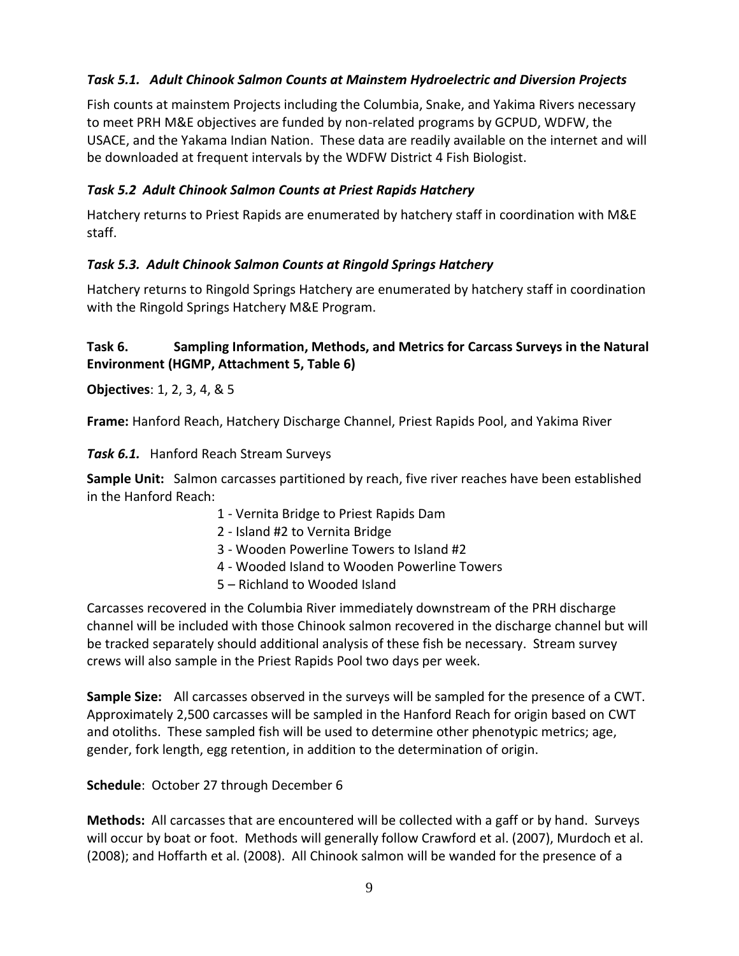## *Task 5.1. Adult Chinook Salmon Counts at Mainstem Hydroelectric and Diversion Projects*

Fish counts at mainstem Projects including the Columbia, Snake, and Yakima Rivers necessary to meet PRH M&E objectives are funded by non-related programs by GCPUD, WDFW, the USACE, and the Yakama Indian Nation. These data are readily available on the internet and will be downloaded at frequent intervals by the WDFW District 4 Fish Biologist.

### *Task 5.2 Adult Chinook Salmon Counts at Priest Rapids Hatchery*

Hatchery returns to Priest Rapids are enumerated by hatchery staff in coordination with M&E staff.

## *Task 5.3. Adult Chinook Salmon Counts at Ringold Springs Hatchery*

Hatchery returns to Ringold Springs Hatchery are enumerated by hatchery staff in coordination with the Ringold Springs Hatchery M&E Program.

## Task 6. Sampling Information, Methods, and Metrics for Carcass Surveys in the Natural **Environment (HGMP, Attachment 5, Table 6)**

**Objectives**: 1, 2, 3, 4, & 5

**Frame:** Hanford Reach, Hatchery Discharge Channel, Priest Rapids Pool, and Yakima River

*Task 6.1.* Hanford Reach Stream Surveys

**Sample Unit:** Salmon carcasses partitioned by reach, five river reaches have been established in the Hanford Reach:

- 1 Vernita Bridge to Priest Rapids Dam
- 2 Island #2 to Vernita Bridge
- 3 Wooden Powerline Towers to Island #2
- 4 Wooded Island to Wooden Powerline Towers
- 5 Richland to Wooded Island

Carcasses recovered in the Columbia River immediately downstream of the PRH discharge channel will be included with those Chinook salmon recovered in the discharge channel but will be tracked separately should additional analysis of these fish be necessary. Stream survey crews will also sample in the Priest Rapids Pool two days per week.

**Sample Size:** All carcasses observed in the surveys will be sampled for the presence of a CWT. Approximately 2,500 carcasses will be sampled in the Hanford Reach for origin based on CWT and otoliths. These sampled fish will be used to determine other phenotypic metrics; age, gender, fork length, egg retention, in addition to the determination of origin.

**Schedule**: October 27 through December 6

**Methods:** All carcasses that are encountered will be collected with a gaff or by hand. Surveys will occur by boat or foot. Methods will generally follow Crawford et al. (2007), Murdoch et al. (2008); and Hoffarth et al. (2008). All Chinook salmon will be wanded for the presence of a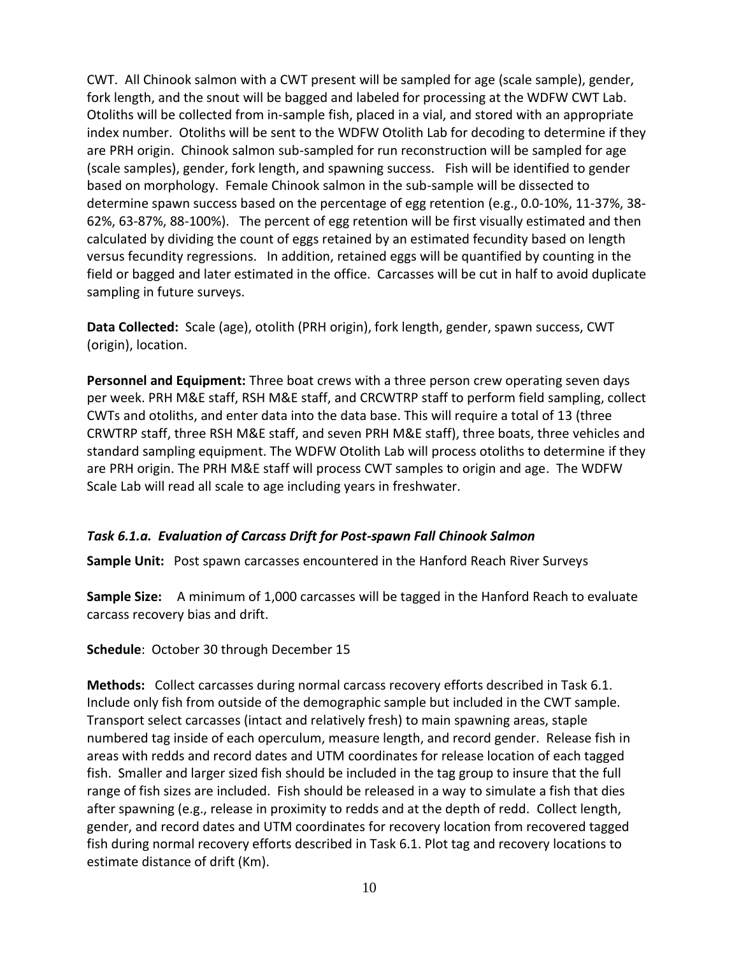CWT. All Chinook salmon with a CWT present will be sampled for age (scale sample), gender, fork length, and the snout will be bagged and labeled for processing at the WDFW CWT Lab. Otoliths will be collected from in-sample fish, placed in a vial, and stored with an appropriate index number. Otoliths will be sent to the WDFW Otolith Lab for decoding to determine if they are PRH origin. Chinook salmon sub-sampled for run reconstruction will be sampled for age (scale samples), gender, fork length, and spawning success. Fish will be identified to gender based on morphology. Female Chinook salmon in the sub-sample will be dissected to determine spawn success based on the percentage of egg retention (e.g., 0.0-10%, 11-37%, 38- 62%, 63-87%, 88-100%). The percent of egg retention will be first visually estimated and then calculated by dividing the count of eggs retained by an estimated fecundity based on length versus fecundity regressions. In addition, retained eggs will be quantified by counting in the field or bagged and later estimated in the office. Carcasses will be cut in half to avoid duplicate sampling in future surveys.

**Data Collected:** Scale (age), otolith (PRH origin), fork length, gender, spawn success, CWT (origin), location.

**Personnel and Equipment:** Three boat crews with a three person crew operating seven days per week. PRH M&E staff, RSH M&E staff, and CRCWTRP staff to perform field sampling, collect CWTs and otoliths, and enter data into the data base. This will require a total of 13 (three CRWTRP staff, three RSH M&E staff, and seven PRH M&E staff), three boats, three vehicles and standard sampling equipment. The WDFW Otolith Lab will process otoliths to determine if they are PRH origin. The PRH M&E staff will process CWT samples to origin and age. The WDFW Scale Lab will read all scale to age including years in freshwater.

## *Task 6.1.a. Evaluation of Carcass Drift for Post-spawn Fall Chinook Salmon*

**Sample Unit:** Post spawn carcasses encountered in the Hanford Reach River Surveys

**Sample Size:** A minimum of 1,000 carcasses will be tagged in the Hanford Reach to evaluate carcass recovery bias and drift.

**Schedule**: October 30 through December 15

**Methods:** Collect carcasses during normal carcass recovery efforts described in Task 6.1. Include only fish from outside of the demographic sample but included in the CWT sample. Transport select carcasses (intact and relatively fresh) to main spawning areas, staple numbered tag inside of each operculum, measure length, and record gender. Release fish in areas with redds and record dates and UTM coordinates for release location of each tagged fish. Smaller and larger sized fish should be included in the tag group to insure that the full range of fish sizes are included. Fish should be released in a way to simulate a fish that dies after spawning (e.g., release in proximity to redds and at the depth of redd. Collect length, gender, and record dates and UTM coordinates for recovery location from recovered tagged fish during normal recovery efforts described in Task 6.1. Plot tag and recovery locations to estimate distance of drift (Km).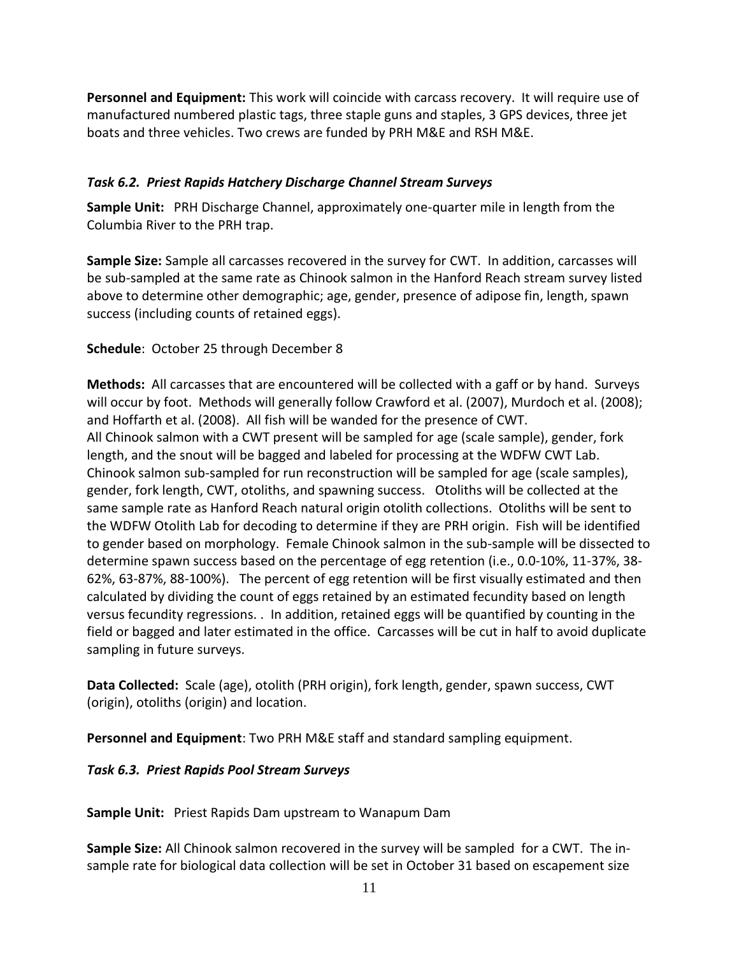**Personnel and Equipment:** This work will coincide with carcass recovery. It will require use of manufactured numbered plastic tags, three staple guns and staples, 3 GPS devices, three jet boats and three vehicles. Two crews are funded by PRH M&E and RSH M&E.

## *Task 6.2. Priest Rapids Hatchery Discharge Channel Stream Surveys*

**Sample Unit:** PRH Discharge Channel, approximately one-quarter mile in length from the Columbia River to the PRH trap.

**Sample Size:** Sample all carcasses recovered in the survey for CWT. In addition, carcasses will be sub-sampled at the same rate as Chinook salmon in the Hanford Reach stream survey listed above to determine other demographic; age, gender, presence of adipose fin, length, spawn success (including counts of retained eggs).

#### **Schedule**: October 25 through December 8

**Methods:** All carcasses that are encountered will be collected with a gaff or by hand. Surveys will occur by foot. Methods will generally follow Crawford et al. (2007), Murdoch et al. (2008); and Hoffarth et al. (2008). All fish will be wanded for the presence of CWT. All Chinook salmon with a CWT present will be sampled for age (scale sample), gender, fork length, and the snout will be bagged and labeled for processing at the WDFW CWT Lab. Chinook salmon sub-sampled for run reconstruction will be sampled for age (scale samples), gender, fork length, CWT, otoliths, and spawning success. Otoliths will be collected at the same sample rate as Hanford Reach natural origin otolith collections. Otoliths will be sent to the WDFW Otolith Lab for decoding to determine if they are PRH origin. Fish will be identified to gender based on morphology. Female Chinook salmon in the sub-sample will be dissected to determine spawn success based on the percentage of egg retention (i.e., 0.0-10%, 11-37%, 38- 62%, 63-87%, 88-100%). The percent of egg retention will be first visually estimated and then calculated by dividing the count of eggs retained by an estimated fecundity based on length versus fecundity regressions. . In addition, retained eggs will be quantified by counting in the field or bagged and later estimated in the office. Carcasses will be cut in half to avoid duplicate sampling in future surveys.

**Data Collected:** Scale (age), otolith (PRH origin), fork length, gender, spawn success, CWT (origin), otoliths (origin) and location.

**Personnel and Equipment**: Two PRH M&E staff and standard sampling equipment.

#### *Task 6.3. Priest Rapids Pool Stream Surveys*

**Sample Unit:** Priest Rapids Dam upstream to Wanapum Dam

**Sample Size:** All Chinook salmon recovered in the survey will be sampled for a CWT. The insample rate for biological data collection will be set in October 31 based on escapement size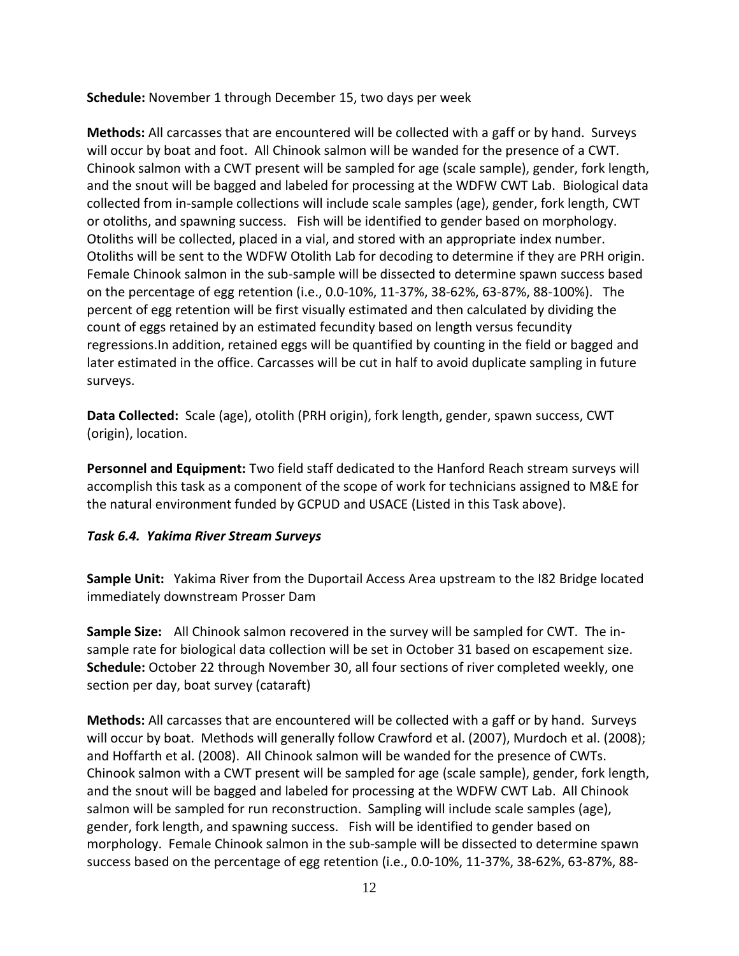**Schedule:** November 1 through December 15, two days per week

**Methods:** All carcasses that are encountered will be collected with a gaff or by hand. Surveys will occur by boat and foot. All Chinook salmon will be wanded for the presence of a CWT. Chinook salmon with a CWT present will be sampled for age (scale sample), gender, fork length, and the snout will be bagged and labeled for processing at the WDFW CWT Lab. Biological data collected from in-sample collections will include scale samples (age), gender, fork length, CWT or otoliths, and spawning success. Fish will be identified to gender based on morphology. Otoliths will be collected, placed in a vial, and stored with an appropriate index number. Otoliths will be sent to the WDFW Otolith Lab for decoding to determine if they are PRH origin. Female Chinook salmon in the sub-sample will be dissected to determine spawn success based on the percentage of egg retention (i.e., 0.0-10%, 11-37%, 38-62%, 63-87%, 88-100%). The percent of egg retention will be first visually estimated and then calculated by dividing the count of eggs retained by an estimated fecundity based on length versus fecundity regressions.In addition, retained eggs will be quantified by counting in the field or bagged and later estimated in the office. Carcasses will be cut in half to avoid duplicate sampling in future surveys.

**Data Collected:** Scale (age), otolith (PRH origin), fork length, gender, spawn success, CWT (origin), location.

**Personnel and Equipment:** Two field staff dedicated to the Hanford Reach stream surveys will accomplish this task as a component of the scope of work for technicians assigned to M&E for the natural environment funded by GCPUD and USACE (Listed in this Task above).

## *Task 6.4. Yakima River Stream Surveys*

**Sample Unit:** Yakima River from the Duportail Access Area upstream to the I82 Bridge located immediately downstream Prosser Dam

**Sample Size:** All Chinook salmon recovered in the survey will be sampled for CWT. The insample rate for biological data collection will be set in October 31 based on escapement size. **Schedule:** October 22 through November 30, all four sections of river completed weekly, one section per day, boat survey (cataraft)

**Methods:** All carcasses that are encountered will be collected with a gaff or by hand. Surveys will occur by boat. Methods will generally follow Crawford et al. (2007), Murdoch et al. (2008); and Hoffarth et al. (2008). All Chinook salmon will be wanded for the presence of CWTs. Chinook salmon with a CWT present will be sampled for age (scale sample), gender, fork length, and the snout will be bagged and labeled for processing at the WDFW CWT Lab. All Chinook salmon will be sampled for run reconstruction. Sampling will include scale samples (age), gender, fork length, and spawning success. Fish will be identified to gender based on morphology. Female Chinook salmon in the sub-sample will be dissected to determine spawn success based on the percentage of egg retention (i.e., 0.0-10%, 11-37%, 38-62%, 63-87%, 88-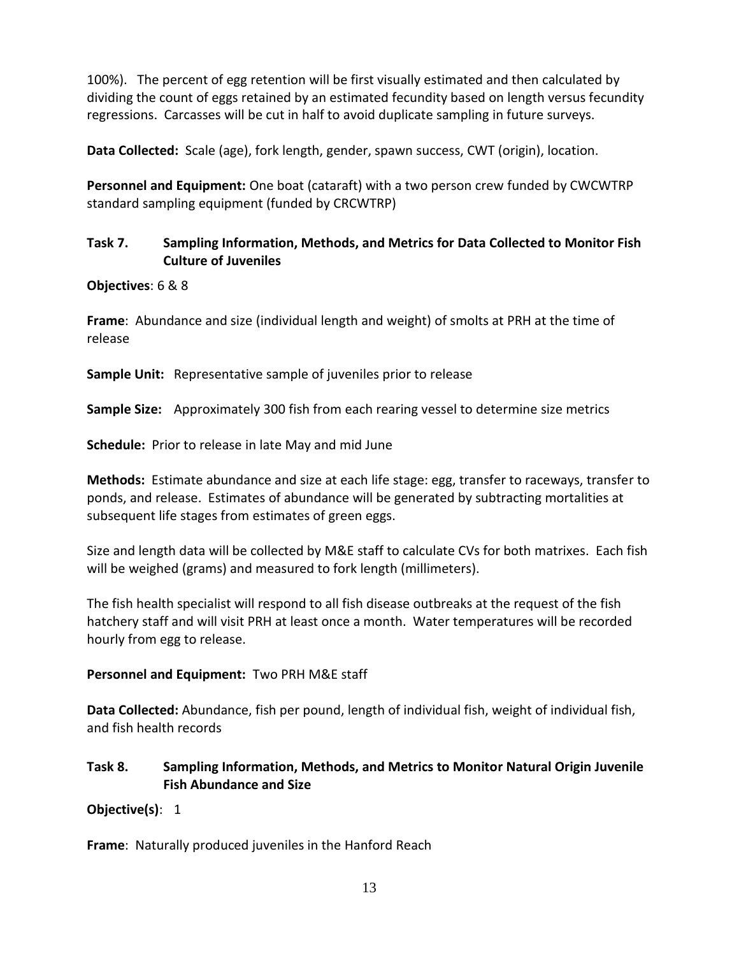100%). The percent of egg retention will be first visually estimated and then calculated by dividing the count of eggs retained by an estimated fecundity based on length versus fecundity regressions. Carcasses will be cut in half to avoid duplicate sampling in future surveys.

**Data Collected:** Scale (age), fork length, gender, spawn success, CWT (origin), location.

**Personnel and Equipment:** One boat (cataraft) with a two person crew funded by CWCWTRP standard sampling equipment (funded by CRCWTRP)

## **Task 7. Sampling Information, Methods, and Metrics for Data Collected to Monitor Fish Culture of Juveniles**

## **Objectives**: 6 & 8

**Frame**: Abundance and size (individual length and weight) of smolts at PRH at the time of release

**Sample Unit:** Representative sample of juveniles prior to release

**Sample Size:** Approximately 300 fish from each rearing vessel to determine size metrics

**Schedule:** Prior to release in late May and mid June

**Methods:** Estimate abundance and size at each life stage: egg, transfer to raceways, transfer to ponds, and release. Estimates of abundance will be generated by subtracting mortalities at subsequent life stages from estimates of green eggs.

Size and length data will be collected by M&E staff to calculate CVs for both matrixes. Each fish will be weighed (grams) and measured to fork length (millimeters).

The fish health specialist will respond to all fish disease outbreaks at the request of the fish hatchery staff and will visit PRH at least once a month. Water temperatures will be recorded hourly from egg to release.

## **Personnel and Equipment:** Two PRH M&E staff

**Data Collected:** Abundance, fish per pound, length of individual fish, weight of individual fish, and fish health records

## **Task 8. Sampling Information, Methods, and Metrics to Monitor Natural Origin Juvenile Fish Abundance and Size**

## **Objective(s)**: 1

**Frame**: Naturally produced juveniles in the Hanford Reach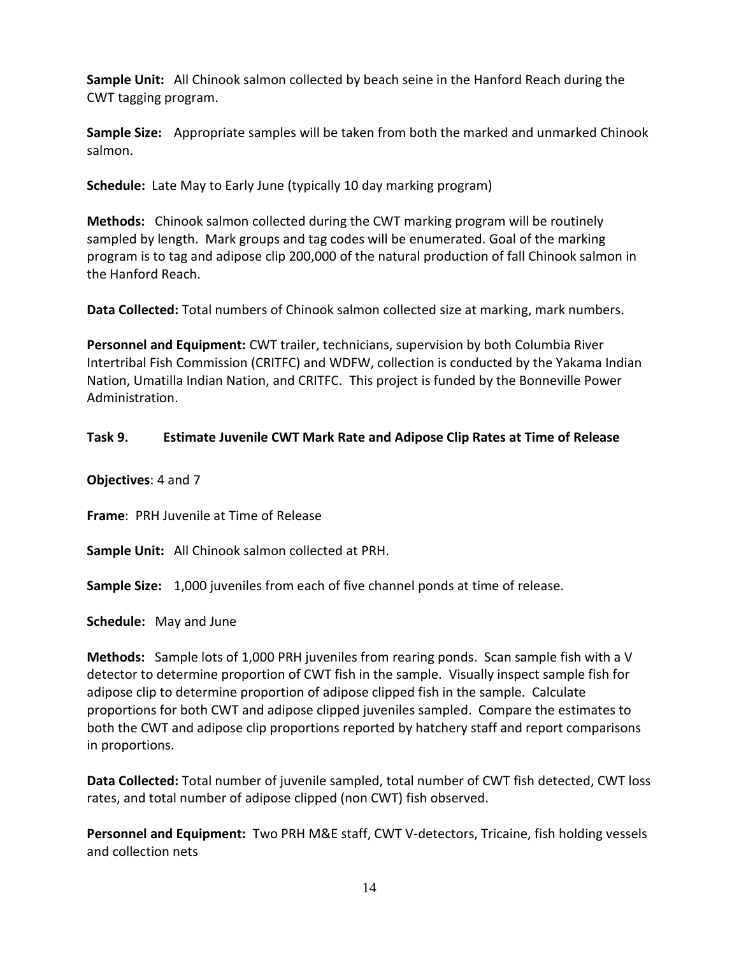**Sample Unit:** All Chinook salmon collected by beach seine in the Hanford Reach during the CWT tagging program.

**Sample Size:** Appropriate samples will be taken from both the marked and unmarked Chinook salmon.

**Schedule:** Late May to Early June (typically 10 day marking program)

**Methods:** Chinook salmon collected during the CWT marking program will be routinely sampled by length. Mark groups and tag codes will be enumerated. Goal of the marking program is to tag and adipose clip 200,000 of the natural production of fall Chinook salmon in the Hanford Reach.

**Data Collected:** Total numbers of Chinook salmon collected size at marking, mark numbers.

**Personnel and Equipment:** CWT trailer, technicians, supervision by both Columbia River Intertribal Fish Commission (CRITFC) and WDFW, collection is conducted by the Yakama Indian Nation, Umatilla Indian Nation, and CRITFC. This project is funded by the Bonneville Power Administration.

## **Task 9. Estimate Juvenile CWT Mark Rate and Adipose Clip Rates at Time of Release**

**Objectives**: 4 and 7

**Frame**: PRH Juvenile at Time of Release

**Sample Unit:** All Chinook salmon collected at PRH.

**Sample Size:** 1,000 juveniles from each of five channel ponds at time of release.

**Schedule:** May and June

**Methods:** Sample lots of 1,000 PRH juveniles from rearing ponds. Scan sample fish with a V detector to determine proportion of CWT fish in the sample. Visually inspect sample fish for adipose clip to determine proportion of adipose clipped fish in the sample. Calculate proportions for both CWT and adipose clipped juveniles sampled. Compare the estimates to both the CWT and adipose clip proportions reported by hatchery staff and report comparisons in proportions.

**Data Collected:** Total number of juvenile sampled, total number of CWT fish detected, CWT loss rates, and total number of adipose clipped (non CWT) fish observed.

**Personnel and Equipment:** Two PRH M&E staff, CWT V-detectors, Tricaine, fish holding vessels and collection nets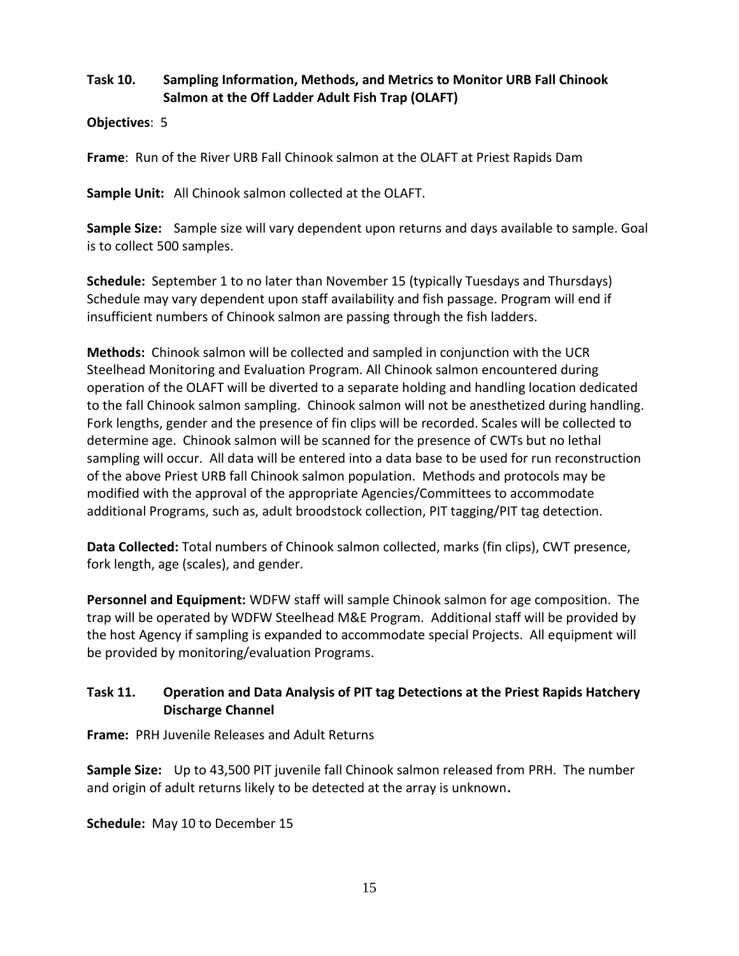## **Task 10. Sampling Information, Methods, and Metrics to Monitor URB Fall Chinook Salmon at the Off Ladder Adult Fish Trap (OLAFT)**

#### **Objectives**: 5

**Frame**: Run of the River URB Fall Chinook salmon at the OLAFT at Priest Rapids Dam

**Sample Unit:** All Chinook salmon collected at the OLAFT.

**Sample Size:** Sample size will vary dependent upon returns and days available to sample. Goal is to collect 500 samples.

**Schedule:** September 1 to no later than November 15 (typically Tuesdays and Thursdays) Schedule may vary dependent upon staff availability and fish passage. Program will end if insufficient numbers of Chinook salmon are passing through the fish ladders.

**Methods:** Chinook salmon will be collected and sampled in conjunction with the UCR Steelhead Monitoring and Evaluation Program. All Chinook salmon encountered during operation of the OLAFT will be diverted to a separate holding and handling location dedicated to the fall Chinook salmon sampling. Chinook salmon will not be anesthetized during handling. Fork lengths, gender and the presence of fin clips will be recorded. Scales will be collected to determine age. Chinook salmon will be scanned for the presence of CWTs but no lethal sampling will occur. All data will be entered into a data base to be used for run reconstruction of the above Priest URB fall Chinook salmon population. Methods and protocols may be modified with the approval of the appropriate Agencies/Committees to accommodate additional Programs, such as, adult broodstock collection, PIT tagging/PIT tag detection.

**Data Collected:** Total numbers of Chinook salmon collected, marks (fin clips), CWT presence, fork length, age (scales), and gender.

**Personnel and Equipment:** WDFW staff will sample Chinook salmon for age composition. The trap will be operated by WDFW Steelhead M&E Program. Additional staff will be provided by the host Agency if sampling is expanded to accommodate special Projects. All equipment will be provided by monitoring/evaluation Programs.

## **Task 11. Operation and Data Analysis of PIT tag Detections at the Priest Rapids Hatchery Discharge Channel**

**Frame:** PRH Juvenile Releases and Adult Returns

**Sample Size:** Up to 43,500 PIT juvenile fall Chinook salmon released from PRH. The number and origin of adult returns likely to be detected at the array is unknown**.**

**Schedule:** May 10 to December 15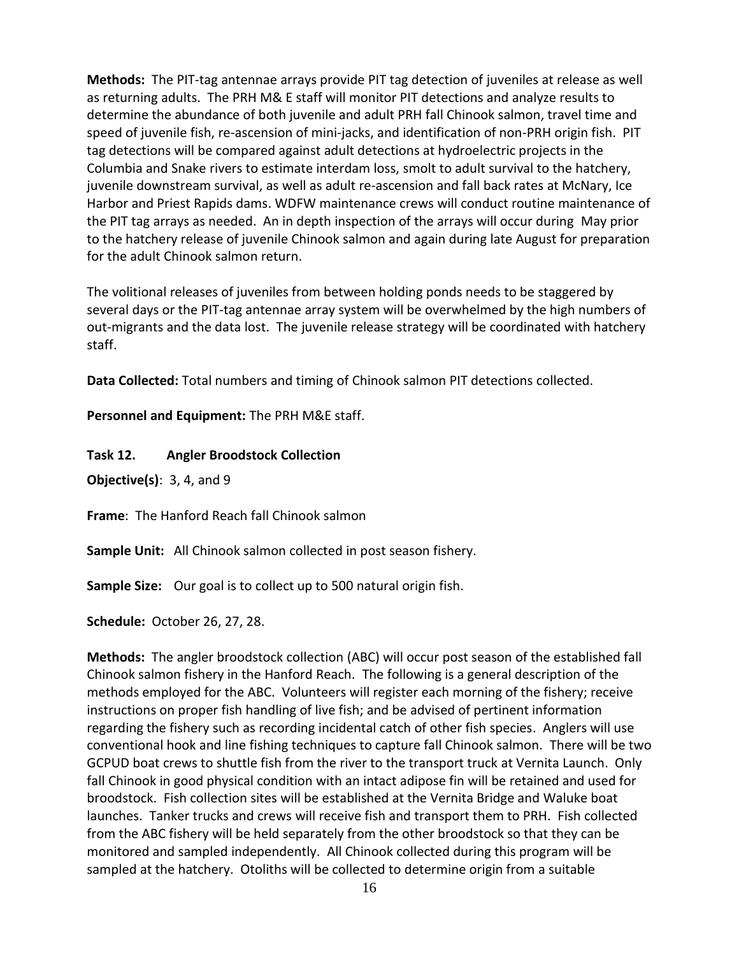**Methods:** The PIT-tag antennae arrays provide PIT tag detection of juveniles at release as well as returning adults. The PRH M& E staff will monitor PIT detections and analyze results to determine the abundance of both juvenile and adult PRH fall Chinook salmon, travel time and speed of juvenile fish, re-ascension of mini-jacks, and identification of non-PRH origin fish. PIT tag detections will be compared against adult detections at hydroelectric projects in the Columbia and Snake rivers to estimate interdam loss, smolt to adult survival to the hatchery, juvenile downstream survival, as well as adult re-ascension and fall back rates at McNary, Ice Harbor and Priest Rapids dams. WDFW maintenance crews will conduct routine maintenance of the PIT tag arrays as needed. An in depth inspection of the arrays will occur during May prior to the hatchery release of juvenile Chinook salmon and again during late August for preparation for the adult Chinook salmon return.

The volitional releases of juveniles from between holding ponds needs to be staggered by several days or the PIT-tag antennae array system will be overwhelmed by the high numbers of out-migrants and the data lost. The juvenile release strategy will be coordinated with hatchery staff.

**Data Collected:** Total numbers and timing of Chinook salmon PIT detections collected.

**Personnel and Equipment:** The PRH M&E staff.

**Task 12. Angler Broodstock Collection**

**Objective(s)**: 3, 4, and 9

**Frame**: The Hanford Reach fall Chinook salmon

**Sample Unit:** All Chinook salmon collected in post season fishery.

**Sample Size:** Our goal is to collect up to 500 natural origin fish.

**Schedule:** October 26, 27, 28.

**Methods:** The angler broodstock collection (ABC) will occur post season of the established fall Chinook salmon fishery in the Hanford Reach. The following is a general description of the methods employed for the ABC. Volunteers will register each morning of the fishery; receive instructions on proper fish handling of live fish; and be advised of pertinent information regarding the fishery such as recording incidental catch of other fish species. Anglers will use conventional hook and line fishing techniques to capture fall Chinook salmon. There will be two GCPUD boat crews to shuttle fish from the river to the transport truck at Vernita Launch. Only fall Chinook in good physical condition with an intact adipose fin will be retained and used for broodstock. Fish collection sites will be established at the Vernita Bridge and Waluke boat launches. Tanker trucks and crews will receive fish and transport them to PRH. Fish collected from the ABC fishery will be held separately from the other broodstock so that they can be monitored and sampled independently. All Chinook collected during this program will be sampled at the hatchery. Otoliths will be collected to determine origin from a suitable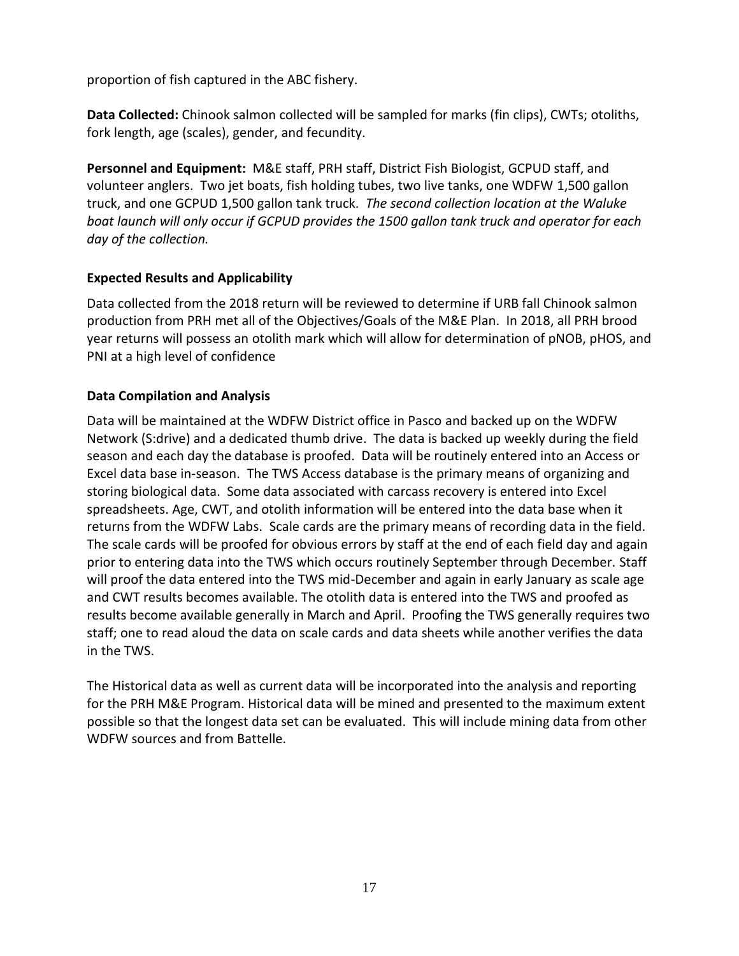proportion of fish captured in the ABC fishery.

**Data Collected:** Chinook salmon collected will be sampled for marks (fin clips), CWTs; otoliths, fork length, age (scales), gender, and fecundity.

**Personnel and Equipment:** M&E staff, PRH staff, District Fish Biologist, GCPUD staff, and volunteer anglers. Two jet boats, fish holding tubes, two live tanks, one WDFW 1,500 gallon truck, and one GCPUD 1,500 gallon tank truck. *The second collection location at the Waluke boat launch will only occur if GCPUD provides the 1500 gallon tank truck and operator for each day of the collection.* 

## **Expected Results and Applicability**

Data collected from the 2018 return will be reviewed to determine if URB fall Chinook salmon production from PRH met all of the Objectives/Goals of the M&E Plan. In 2018, all PRH brood year returns will possess an otolith mark which will allow for determination of pNOB, pHOS, and PNI at a high level of confidence

## **Data Compilation and Analysis**

Data will be maintained at the WDFW District office in Pasco and backed up on the WDFW Network (S:drive) and a dedicated thumb drive. The data is backed up weekly during the field season and each day the database is proofed. Data will be routinely entered into an Access or Excel data base in-season. The TWS Access database is the primary means of organizing and storing biological data. Some data associated with carcass recovery is entered into Excel spreadsheets. Age, CWT, and otolith information will be entered into the data base when it returns from the WDFW Labs. Scale cards are the primary means of recording data in the field. The scale cards will be proofed for obvious errors by staff at the end of each field day and again prior to entering data into the TWS which occurs routinely September through December. Staff will proof the data entered into the TWS mid-December and again in early January as scale age and CWT results becomes available. The otolith data is entered into the TWS and proofed as results become available generally in March and April. Proofing the TWS generally requires two staff; one to read aloud the data on scale cards and data sheets while another verifies the data in the TWS.

The Historical data as well as current data will be incorporated into the analysis and reporting for the PRH M&E Program. Historical data will be mined and presented to the maximum extent possible so that the longest data set can be evaluated. This will include mining data from other WDFW sources and from Battelle.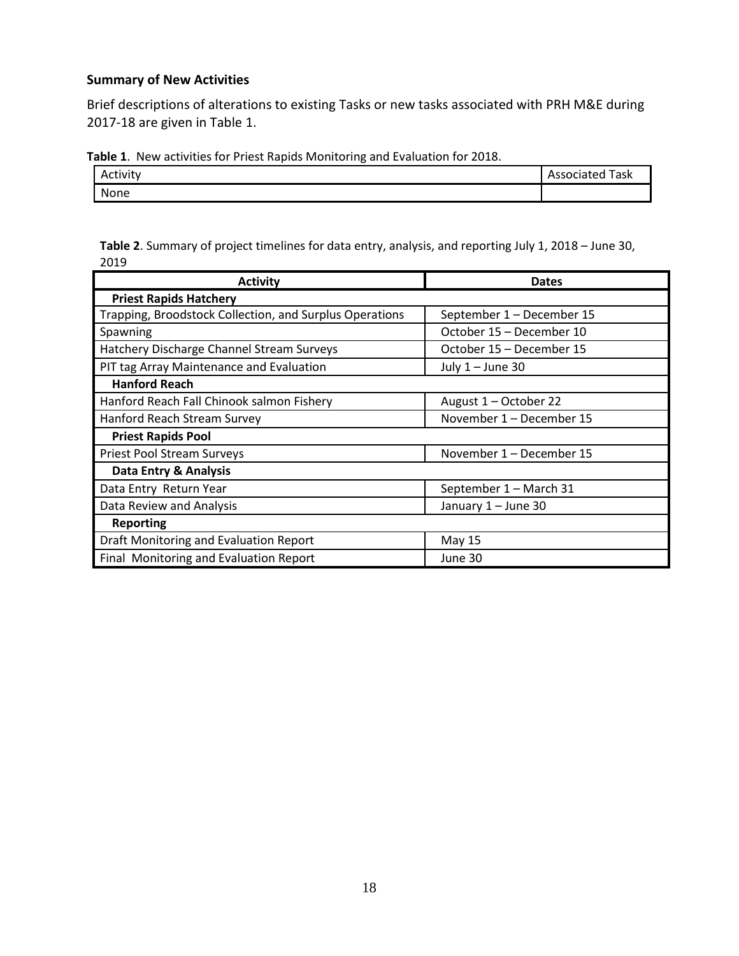#### **Summary of New Activities**

Brief descriptions of alterations to existing Tasks or new tasks associated with PRH M&E during 2017-18 are given in Table 1.

**Table 1**. New activities for Priest Rapids Monitoring and Evaluation for 2018.

| Activity | Task<br>Associated<br>ASSL. |
|----------|-----------------------------|
| None     |                             |

| Table 2. Summary of project timelines for data entry, analysis, and reporting July 1, 2018 - June 30, |  |
|-------------------------------------------------------------------------------------------------------|--|
| 2019                                                                                                  |  |

| <b>Activity</b>                                         | <b>Dates</b>              |
|---------------------------------------------------------|---------------------------|
| <b>Priest Rapids Hatchery</b>                           |                           |
| Trapping, Broodstock Collection, and Surplus Operations | September 1 - December 15 |
| Spawning                                                | October 15 - December 10  |
| Hatchery Discharge Channel Stream Surveys               | October 15 - December 15  |
| PIT tag Array Maintenance and Evaluation                | July $1 -$ June 30        |
| <b>Hanford Reach</b>                                    |                           |
| Hanford Reach Fall Chinook salmon Fishery               | August 1 - October 22     |
| Hanford Reach Stream Survey                             | November 1 - December 15  |
| <b>Priest Rapids Pool</b>                               |                           |
| <b>Priest Pool Stream Surveys</b>                       | November 1 - December 15  |
| Data Entry & Analysis                                   |                           |
| Data Entry Return Year                                  | September 1 - March 31    |
| Data Review and Analysis                                | January 1 - June 30       |
| <b>Reporting</b>                                        |                           |
| Draft Monitoring and Evaluation Report                  | May 15                    |
| Final Monitoring and Evaluation Report                  | June 30                   |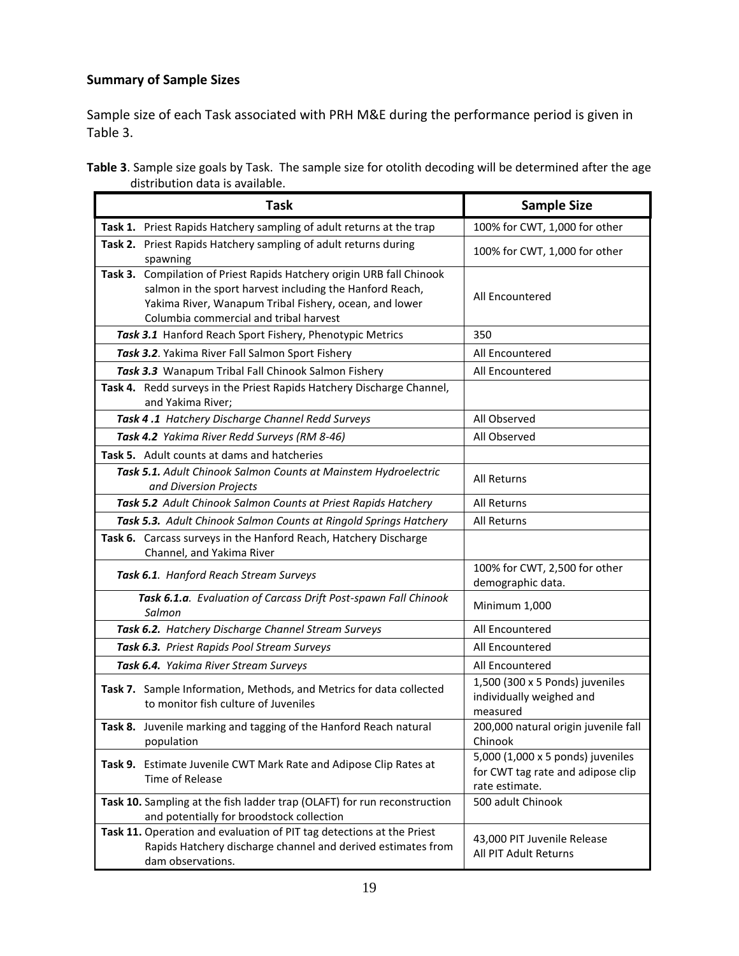## **Summary of Sample Sizes**

Sample size of each Task associated with PRH M&E during the performance period is given in Table 3.

**Table 3**. Sample size goals by Task. The sample size for otolith decoding will be determined after the age distribution data is available.

| <b>Task</b>                                                                                                                                                                                                                              | <b>Sample Size</b>                                                                       |
|------------------------------------------------------------------------------------------------------------------------------------------------------------------------------------------------------------------------------------------|------------------------------------------------------------------------------------------|
| Task 1. Priest Rapids Hatchery sampling of adult returns at the trap                                                                                                                                                                     | 100% for CWT, 1,000 for other                                                            |
| Task 2. Priest Rapids Hatchery sampling of adult returns during<br>spawning                                                                                                                                                              | 100% for CWT, 1,000 for other                                                            |
| Compilation of Priest Rapids Hatchery origin URB fall Chinook<br>Task 3.<br>salmon in the sport harvest including the Hanford Reach,<br>Yakima River, Wanapum Tribal Fishery, ocean, and lower<br>Columbia commercial and tribal harvest | All Encountered                                                                          |
| Task 3.1 Hanford Reach Sport Fishery, Phenotypic Metrics                                                                                                                                                                                 | 350                                                                                      |
| Task 3.2. Yakima River Fall Salmon Sport Fishery                                                                                                                                                                                         | All Encountered                                                                          |
| Task 3.3 Wanapum Tribal Fall Chinook Salmon Fishery                                                                                                                                                                                      | All Encountered                                                                          |
| Task 4. Redd surveys in the Priest Rapids Hatchery Discharge Channel,<br>and Yakima River;                                                                                                                                               |                                                                                          |
| Task 4.1 Hatchery Discharge Channel Redd Surveys                                                                                                                                                                                         | All Observed                                                                             |
| Task 4.2 Yakima River Redd Surveys (RM 8-46)                                                                                                                                                                                             | All Observed                                                                             |
| Task 5. Adult counts at dams and hatcheries                                                                                                                                                                                              |                                                                                          |
| Task 5.1. Adult Chinook Salmon Counts at Mainstem Hydroelectric<br>and Diversion Projects                                                                                                                                                | All Returns                                                                              |
| Task 5.2 Adult Chinook Salmon Counts at Priest Rapids Hatchery                                                                                                                                                                           | <b>All Returns</b>                                                                       |
| Task 5.3. Adult Chinook Salmon Counts at Ringold Springs Hatchery                                                                                                                                                                        | All Returns                                                                              |
| Task 6. Carcass surveys in the Hanford Reach, Hatchery Discharge<br>Channel, and Yakima River                                                                                                                                            |                                                                                          |
| Task 6.1. Hanford Reach Stream Surveys                                                                                                                                                                                                   | 100% for CWT, 2,500 for other<br>demographic data.                                       |
| Task 6.1.a. Evaluation of Carcass Drift Post-spawn Fall Chinook<br>Salmon                                                                                                                                                                | Minimum 1,000                                                                            |
| Task 6.2. Hatchery Discharge Channel Stream Surveys                                                                                                                                                                                      | All Encountered                                                                          |
| Task 6.3. Priest Rapids Pool Stream Surveys                                                                                                                                                                                              | All Encountered                                                                          |
| Task 6.4. Yakima River Stream Surveys                                                                                                                                                                                                    | All Encountered                                                                          |
| Task 7. Sample Information, Methods, and Metrics for data collected<br>to monitor fish culture of Juveniles                                                                                                                              | 1,500 (300 x 5 Ponds) juveniles<br>individually weighed and<br>measured                  |
| Task 8. Juvenile marking and tagging of the Hanford Reach natural<br>population                                                                                                                                                          | 200,000 natural origin juvenile fall<br>Chinook                                          |
| Task 9. Estimate Juvenile CWT Mark Rate and Adipose Clip Rates at<br>Time of Release                                                                                                                                                     | 5,000 (1,000 x 5 ponds) juveniles<br>for CWT tag rate and adipose clip<br>rate estimate. |
| Task 10. Sampling at the fish ladder trap (OLAFT) for run reconstruction<br>and potentially for broodstock collection                                                                                                                    | 500 adult Chinook                                                                        |
| Task 11. Operation and evaluation of PIT tag detections at the Priest<br>Rapids Hatchery discharge channel and derived estimates from<br>dam observations.                                                                               | 43,000 PIT Juvenile Release<br><b>All PIT Adult Returns</b>                              |